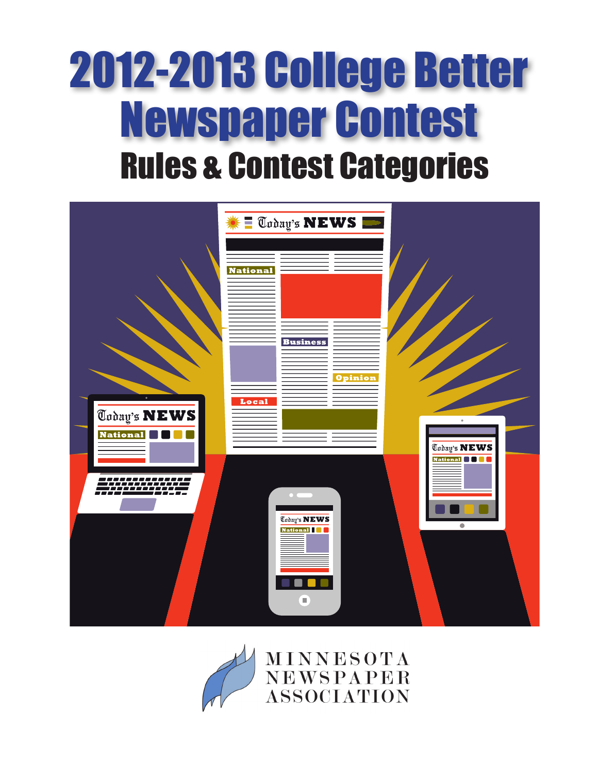# 2012-2013 College Better Newspaper Contest Rules & Contest Categories



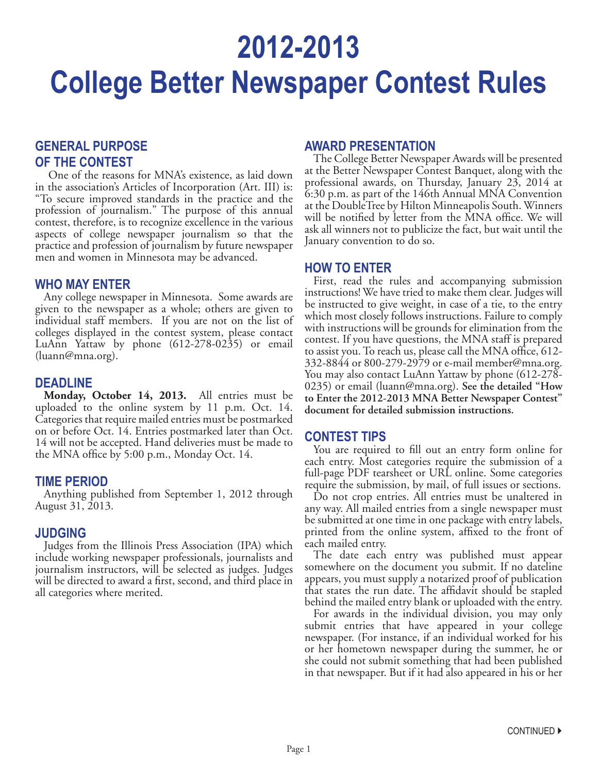# **2012-2013 College Better Newspaper Contest Rules**

### **GENERAL PURPOSE OF THE CONTEST**

One of the reasons for MNA's existence, as laid down in the association's Articles of Incorporation (Art. III) is: "To secure improved standards in the practice and the profession of journalism." The purpose of this annual contest, therefore, is to recognize excellence in the various aspects of college newspaper journalism so that the practice and profession of journalism by future newspaper men and women in Minnesota may be advanced.

### **WHO MAY ENTER**

Any college newspaper in Minnesota. Some awards are given to the newspaper as a whole; others are given to individual staff members. If you are not on the list of colleges displayed in the contest system, please contact LuAnn Yattaw by phone (612-278-0235) or email (luann@mna.org).

### **DEADLINE**

**Monday, October 14, 2013.** All entries must be uploaded to the online system by 11 p.m. Oct. 14. Categories that require mailed entries must be postmarked on or before Oct. 14. Entries postmarked later than Oct. 14 will not be accepted. Hand deliveries must be made to the MNA office by 5:00 p.m., Monday Oct. 14.

### **TIME PERIOD**

Anything published from September 1, 2012 through August 31, 2013.

### **JUDGING**

Judges from the Illinois Press Association (IPA) which include working newspaper professionals, journalists and journalism instructors, will be selected as judges. Judges will be directed to award a first, second, and third place in all categories where merited.

### **AWARD PRESENTATION**

The College Better Newspaper Awards will be presented at the Better Newspaper Contest Banquet, along with the professional awards, on Thursday, January 23, 2014 at 6:30 p.m. as part of the 146th Annual MNA Convention at the DoubleTree by Hilton Minneapolis South. Winners will be notified by letter from the MNA office. We will ask all winners not to publicize the fact, but wait until the January convention to do so.

### **HOW TO ENTER**

First, read the rules and accompanying submission instructions! We have tried to make them clear. Judges will be instructed to give weight, in case of a tie, to the entry which most closely follows instructions. Failure to comply with instructions will be grounds for elimination from the contest. If you have questions, the MNA staff is prepared to assist you. To reach us, please call the MNA office, 612- 332-8844 or 800-279-2979 or e-mail member@mna.org. You may also contact LuAnn Yattaw by phone (612-278- 0235) or email (luann@mna.org). **See the detailed "How to Enter the 2012-2013 MNA Better Newspaper Contest" document for detailed submission instructions.**

### **CONTEST TIPS**

You are required to fill out an entry form online for each entry. Most categories require the submission of a full-page PDF tearsheet or URL online. Some categories require the submission, by mail, of full issues or sections.

Do not crop entries. All entries must be unaltered in any way. All mailed entries from a single newspaper must be submitted at one time in one package with entry labels, printed from the online system, affixed to the front of each mailed entry.

The date each entry was published must appear somewhere on the document you submit. If no dateline appears, you must supply a notarized proof of publication that states the run date. The affidavit should be stapled behind the mailed entry blank or uploaded with the entry.

For awards in the individual division, you may only submit entries that have appeared in your college newspaper. (For instance, if an individual worked for his or her hometown newspaper during the summer, he or she could not submit something that had been published in that newspaper. But if it had also appeared in his or her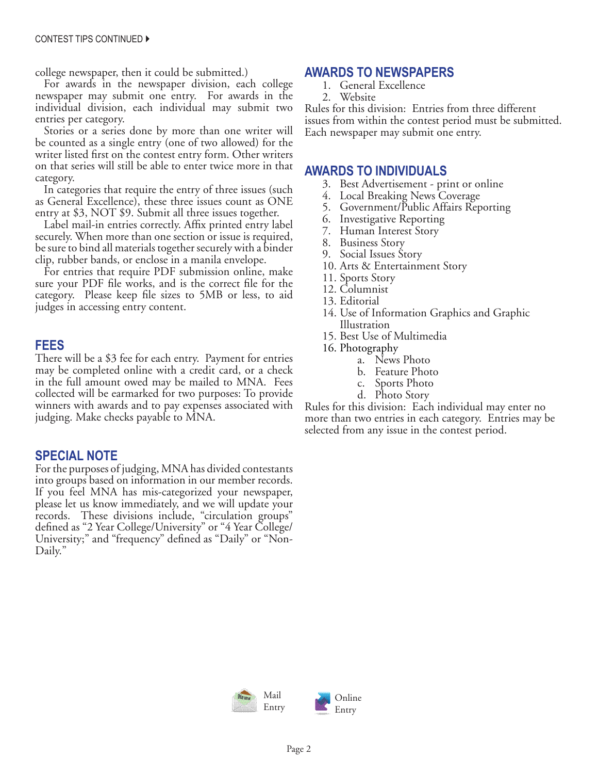college newspaper, then it could be submitted.)

For awards in the newspaper division, each college newspaper may submit one entry. For awards in the individual division, each individual may submit two entries per category.

Stories or a series done by more than one writer will be counted as a single entry (one of two allowed) for the writer listed first on the contest entry form. Other writers on that series will still be able to enter twice more in that category.

In categories that require the entry of three issues (such as General Excellence), these three issues count as ONE entry at \$3, NOT \$9. Submit all three issues together.

Label mail-in entries correctly. Affix printed entry label securely. When more than one section or issue is required, be sure to bind all materials together securely with a binder clip, rubber bands, or enclose in a manila envelope.

For entries that require PDF submission online, make sure your PDF file works, and is the correct file for the category. Please keep file sizes to 5MB or less, to aid judges in accessing entry content.

### **FEES**

There will be a \$3 fee for each entry. Payment for entries may be completed online with a credit card, or a check in the full amount owed may be mailed to MNA. Fees collected will be earmarked for two purposes: To provide winners with awards and to pay expenses associated with judging. Make checks payable to MNA.

### **SPECIAL NOTE**

For the purposes of judging, MNA has divided contestants into groups based on information in our member records. If you feel MNA has mis-categorized your newspaper, please let us know immediately, and we will update your records. These divisions include, "circulation groups" defined as "2 Year College/University" or "4 Year College/ University;" and "frequency" defined as "Daily" or "Non-Daily."

### **AWARDS TO NEWSPAPERS**

- 1. General Excellence
- 2. Website

Rules for this division: Entries from three different issues from within the contest period must be submitted. Each newspaper may submit one entry.

### **AWARDS TO INDIVIDUALS**

- 3. Best Advertisement print or online
- 4. Local Breaking News Coverage
- 5. Government/Public Affairs Reporting
- 6. Investigative Reporting
- 7. Human Interest Story
- 8. Business Story
- 9. Social Issues Story
- 10. Arts & Entertainment Story
- 11. Sports Story
- 12. Columnist
- 13. Editorial
- 14. Use of Information Graphics and Graphic Illustration
- 15. Best Use of Multimedia
- 16. Photography
	- a. News Photo
	- b. Feature Photo
	- c. Sports Photo
	- d. Photo Story

Rules for this division: Each individual may enter no more than two entries in each category. Entries may be selected from any issue in the contest period.

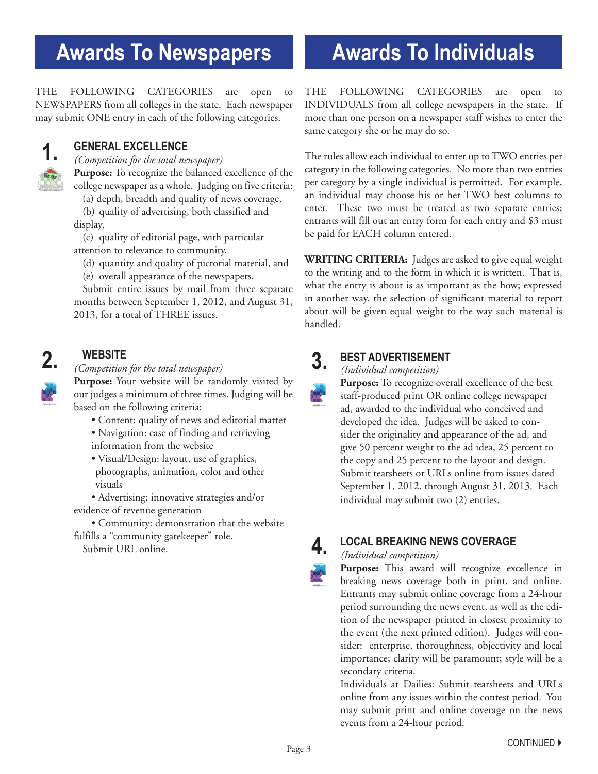# **Awards To Newspapers**

THE FOLLOWING CATEGORIES are open to NEWSPAPERS from all colleges in the state. Each newspaper may submit ONE entry in each of the following categories.



### **GENERAL EXCELLENCE**

*(Competition for the total newspaper)*

**Purpose:** To recognize the balanced excellence of the college newspaper as a whole. Judging on five criteria:

(a) depth, breadth and quality of news coverage,

(b) quality of advertising, both classified and display,

(c) quality of editorial page, with particular attention to relevance to community,

(d) quantity and quality of pictorial material, and

(e) overall appearance of the newspapers.

Submit entire issues by mail from three separate months between September 1, 2012, and August 31, 2013, for a total of THREE issues.

### **WEBSITE**

## **2. 3. 3. 3. 3.**

**Purpose:** Your website will be randomly visited by our judges a minimum of three times. Judging will be based on the following criteria:

- Content: quality of news and editorial matter
- Navigation: ease of finding and retrieving information from the website
- Visual/Design: layout, use of graphics, photographs, animation, color and other visuals

 • Advertising: innovative strategies and/or evidence of revenue generation

 • Community: demonstration that the website fulfills a "community gatekeeper" role.

Submit URL online.

# **Awards To Individuals**

THE FOLLOWING CATEGORIES are open to INDIVIDUALS from all college newspapers in the state. If more than one person on a newspaper staff wishes to enter the same category she or he may do so.

The rules allow each individual to enter up to TWO entries per category in the following categories. No more than two entries per category by a single individual is permitted. For example, an individual may choose his or her TWO best columns to enter. These two must be treated as two separate entries; entrants will fill out an entry form for each entry and \$3 must be paid for EACH column entered.

**WRITING CRITERIA:** Judges are asked to give equal weight to the writing and to the form in which it is written. That is, what the entry is about is as important as the how; expressed in another way, the selection of significant material to report about will be given equal weight to the way such material is handled.

### **BEST ADVERTISEMENT**

*(Individual competition)*

**Purpose:** To recognize overall excellence of the best staff-produced print OR online college newspaper ad, awarded to the individual who conceived and developed the idea. Judges will be asked to consider the originality and appearance of the ad, and give 50 percent weight to the ad idea, 25 percent to the copy and 25 percent to the layout and design. Submit tearsheets or URLs online from issues dated September 1, 2012, through August 31, 2013. Each individual may submit two (2) entries.

**4.**

### **LOCAL BREAKING NEWS COVERAGE**

### *(Individual competition)*

**Purpose:** This award will recognize excellence in breaking news coverage both in print, and online. Entrants may submit online coverage from a 24-hour period surrounding the news event, as well as the edition of the newspaper printed in closest proximity to the event (the next printed edition). Judges will consider: enterprise, thoroughness, objectivity and local importance; clarity will be paramount; style will be a secondary criteria.

Individuals at Dailies: Submit tearsheets and URLs online from any issues within the contest period. You may submit print and online coverage on the news events from a 24-hour period.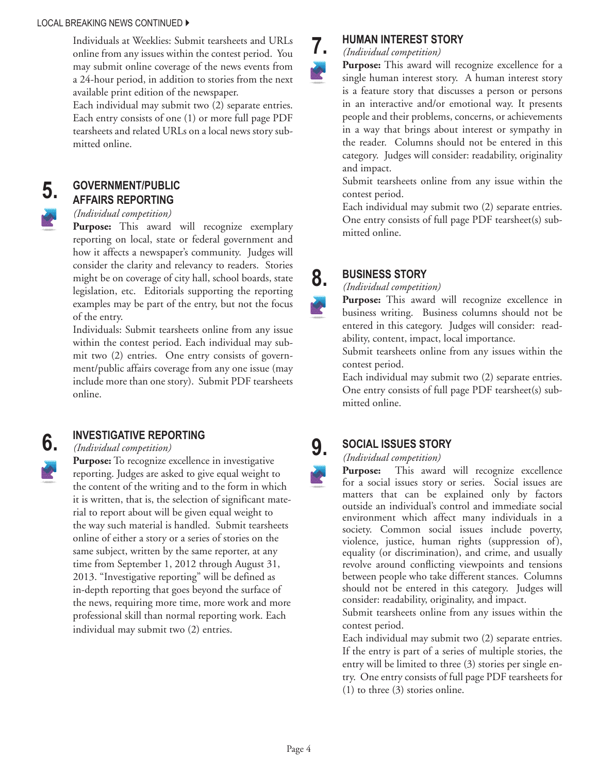#### LOCAL BREAKING NEWS CONTINUED ▶

Individuals at Weeklies: Submit tearsheets and URLs online from any issues within the contest period. You may submit online coverage of the news events from a 24-hour period, in addition to stories from the next available print edition of the newspaper.

Each individual may submit two (2) separate entries. Each entry consists of one (1) or more full page PDF tearsheets and related URLs on a local news story submitted online.

# **5.**

**6.**

### **GOVERNMENT/PUBLIC AFFAIRS REPORTING**

### *(Individual competition)*

**Purpose:** This award will recognize exemplary reporting on local, state or federal government and how it affects a newspaper's community. Judges will consider the clarity and relevancy to readers. Stories might be on coverage of city hall, school boards, state legislation, etc. Editorials supporting the reporting examples may be part of the entry, but not the focus of the entry.

Individuals: Submit tearsheets online from any issue within the contest period. Each individual may submit two (2) entries. One entry consists of government/public affairs coverage from any one issue (may include more than one story). Submit PDF tearsheets online.

### **INVESTIGATIVE REPORTING**

### *(Individual competition)*

**Purpose:** To recognize excellence in investigative reporting. Judges are asked to give equal weight to the content of the writing and to the form in which it is written, that is, the selection of significant material to report about will be given equal weight to the way such material is handled. Submit tearsheets online of either a story or a series of stories on the same subject, written by the same reporter, at any time from September 1, 2012 through August 31, 2013. "Investigative reporting" will be defined as in-depth reporting that goes beyond the surface of the news, requiring more time, more work and more professional skill than normal reporting work. Each individual may submit two (2) entries.



**8.**

Ø.

**9.**

### **HUMAN INTEREST STORY**

*(Individual competition)*

**Purpose:** This award will recognize excellence for a single human interest story. A human interest story is a feature story that discusses a person or persons in an interactive and/or emotional way. It presents people and their problems, concerns, or achievements in a way that brings about interest or sympathy in the reader. Columns should not be entered in this category. Judges will consider: readability, originality and impact.

Submit tearsheets online from any issue within the contest period.

Each individual may submit two (2) separate entries. One entry consists of full page PDF tearsheet(s) submitted online.

### **BUSINESS STORY**

### *(Individual competition)*

**Purpose:** This award will recognize excellence in business writing. Business columns should not be entered in this category. Judges will consider: readability, content, impact, local importance.

Submit tearsheets online from any issues within the contest period.

Each individual may submit two (2) separate entries. One entry consists of full page PDF tearsheet(s) submitted online.

### **SOCIAL ISSUES STORY**

*(Individual competition)*

**Purpose:** This award will recognize excellence for a social issues story or series. Social issues are matters that can be explained only by factors outside an individual's control and immediate social environment which affect many individuals in a society. Common social issues include poverty, violence, justice, human rights (suppression of), equality (or discrimination), and crime, and usually revolve around conflicting viewpoints and tensions between people who take different stances. Columns should not be entered in this category. Judges will consider: readability, originality, and impact.

Submit tearsheets online from any issues within the contest period.

Each individual may submit two (2) separate entries. If the entry is part of a series of multiple stories, the entry will be limited to three (3) stories per single entry. One entry consists of full page PDF tearsheets for (1) to three (3) stories online.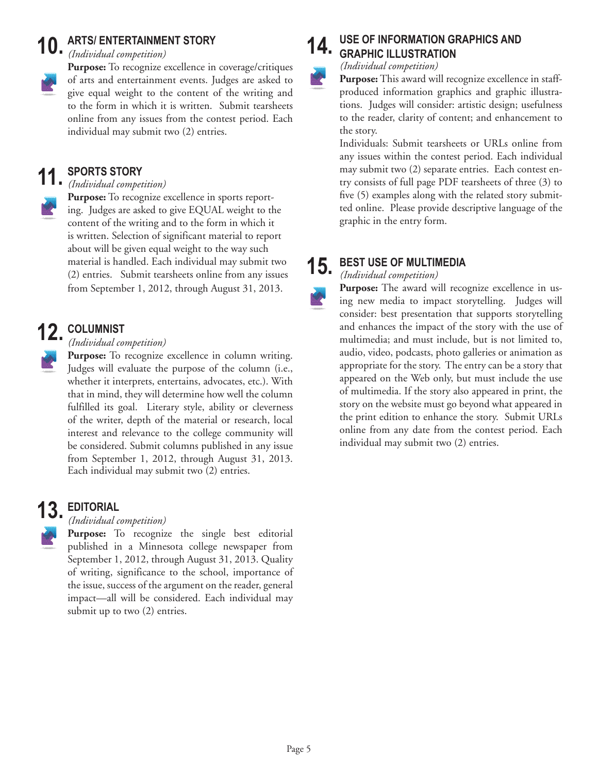### **ARTS/ ENTERTAINMENT STORY** *(Individual competition)*  **10.**

**Purpose:** To recognize excellence in coverage/critiques of arts and entertainment events. Judges are asked to give equal weight to the content of the writing and to the form in which it is written. Submit tearsheets online from any issues from the contest period. Each individual may submit two (2) entries.

### **SPORTS STORY 11.**

*(Individual competition)*

**Purpose:** To recognize excellence in sports reporting. Judges are asked to give EQUAL weight to the content of the writing and to the form in which it is written. Selection of significant material to report about will be given equal weight to the way such material is handled. Each individual may submit two (2) entries. Submit tearsheets online from any issues from September 1, 2012, through August 31, 2013.

# **COLUMNIST 12.**

*(Individual competition)*

Purpose: To recognize excellence in column writing. Judges will evaluate the purpose of the column (i.e., whether it interprets, entertains, advocates, etc.). With that in mind, they will determine how well the column fulfilled its goal. Literary style, ability or cleverness of the writer, depth of the material or research, local interest and relevance to the college community will be considered. Submit columns published in any issue from September 1, 2012, through August 31, 2013. Each individual may submit two (2) entries.

### **EDITORIAL 13.**

*(Individual competition)*

**Purpose:** To recognize the single best editorial published in a Minnesota college newspaper from September 1, 2012, through August 31, 2013. Quality of writing, significance to the school, importance of the issue, success of the argument on the reader, general impact—all will be considered. Each individual may submit up to two  $(2)$  entries.

#### **USE OF INFORMATION GRAPHICS AND GRAPHIC ILLUSTRATION 14.**

*(Individual competition)* 

**Purpose:** This award will recognize excellence in staffproduced information graphics and graphic illustrations. Judges will consider: artistic design; usefulness to the reader, clarity of content; and enhancement to the story.

Individuals: Submit tearsheets or URLs online from any issues within the contest period. Each individual may submit two (2) separate entries. Each contest entry consists of full page PDF tearsheets of three (3) to five (5) examples along with the related story submitted online. Please provide descriptive language of the graphic in the entry form.

#### **BEST USE OF MULTIMEDIA 15.**

*(Individual competition)* 

**Purpose:** The award will recognize excellence in using new media to impact storytelling. Judges will consider: best presentation that supports storytelling and enhances the impact of the story with the use of multimedia; and must include, but is not limited to, audio, video, podcasts, photo galleries or animation as appropriate for the story. The entry can be a story that appeared on the Web only, but must include the use of multimedia. If the story also appeared in print, the story on the website must go beyond what appeared in the print edition to enhance the story. Submit URLs online from any date from the contest period. Each individual may submit two (2) entries.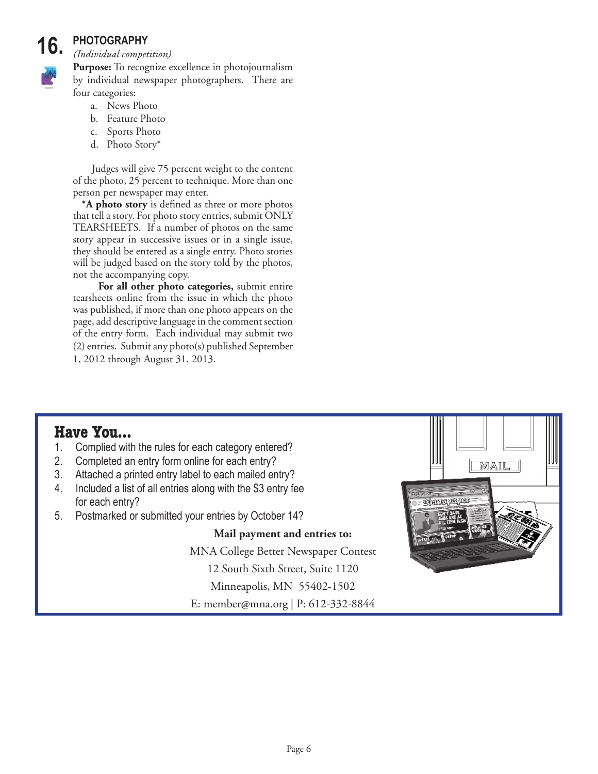### **PHOTOGRAPHY 16.**

*(Individual competition)*

**Purpose:** To recognize excellence in photojournalism by individual newspaper photographers. There are four categories:

- a. News Photo
- b. Feature Photo
- c. Sports Photo
- d. Photo Story\*

 Judges will give 75 percent weight to the content of the photo, 25 percent to technique. More than one person per newspaper may enter.

**\*A photo story** is defined as three or more photos that tell a story. For photo story entries, submit ONLY TEARSHEETS. If a number of photos on the same story appear in successive issues or in a single issue, they should be entered as a single entry. Photo stories will be judged based on the story told by the photos, not the accompanying copy.

 **For all other photo categories,** submit entire tearsheets online from the issue in which the photo was published, if more than one photo appears on the page, add descriptive language in the comment section of the entry form. Each individual may submit two (2) entries. Submit any photo(s) published September 1, 2012 through August 31, 2013.

# **Have You...**<br>1. Complied wit

- Complied with the rules for each category entered?
- 2. Completed an entry form online for each entry?
- 3. Attached a printed entry label to each mailed entry?
- 4. Included a list of all entries along with the \$3 entry fee for each entry?
- 5. Postmarked or submitted your entries by October 14?

### **Mail payment and entries to:**

MNA College Better Newspaper Contest

12 South Sixth Street, Suite 1120

Minneapolis, MN 55402-1502

E: member@mna.org | P: 612-332-8844

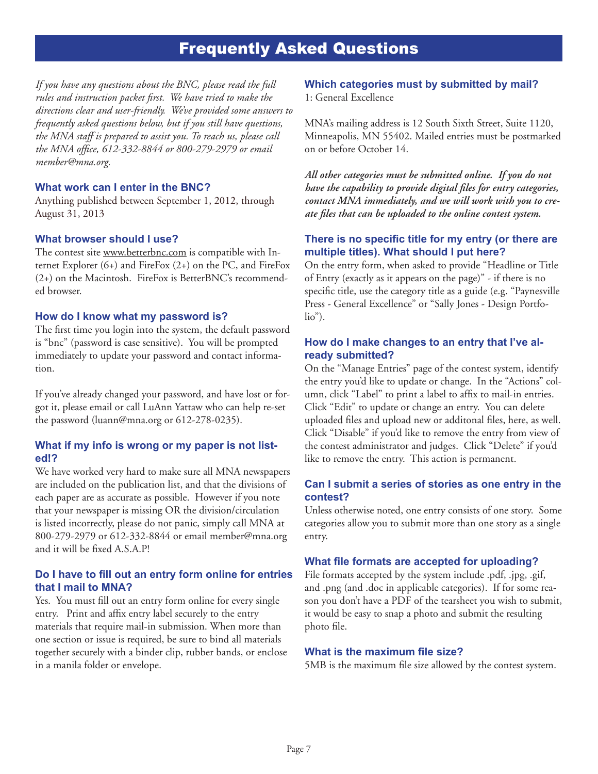### Frequently Asked Questions

*If you have any questions about the BNC, please read the full rules and instruction packet first. We have tried to make the directions clear and user-friendly. We've provided some answers to frequently asked questions below, but if you still have questions, the MNA staff is prepared to assist you. To reach us, please call the MNA office, 612-332-8844 or 800-279-2979 or email member@mna.org.*

### **What work can I enter in the BNC?**

Anything published between September 1, 2012, through August 31, 2013

### **What browser should I use?**

The contest site www.betterbnc.com is compatible with Internet Explorer (6+) and FireFox (2+) on the PC, and FireFox (2+) on the Macintosh. FireFox is BetterBNC's recommended browser.

### **How do I know what my password is?**

The first time you login into the system, the default password is "bnc" (password is case sensitive). You will be prompted immediately to update your password and contact information.

If you've already changed your password, and have lost or forgot it, please email or call LuAnn Yattaw who can help re-set the password (luann@mna.org or 612-278-0235).

### **What if my info is wrong or my paper is not listed!?**

We have worked very hard to make sure all MNA newspapers are included on the publication list, and that the divisions of each paper are as accurate as possible. However if you note that your newspaper is missing OR the division/circulation is listed incorrectly, please do not panic, simply call MNA at 800-279-2979 or 612-332-8844 or email member@mna.org and it will be fixed A.S.A.P!

### **Do I have to fill out an entry form online for entries that I mail to MNA?**

Yes. You must fill out an entry form online for every single entry. Print and affix entry label securely to the entry materials that require mail-in submission. When more than one section or issue is required, be sure to bind all materials together securely with a binder clip, rubber bands, or enclose in a manila folder or envelope.

### **Which categories must by submitted by mail?**

1: General Excellence

MNA's mailing address is 12 South Sixth Street, Suite 1120, Minneapolis, MN 55402. Mailed entries must be postmarked on or before October 14.

*All other categories must be submitted online. If you do not have the capability to provide digital files for entry categories, contact MNA immediately, and we will work with you to create files that can be uploaded to the online contest system.*

### **There is no specific title for my entry (or there are multiple titles). What should I put here?**

On the entry form, when asked to provide "Headline or Title of Entry (exactly as it appears on the page)" - if there is no specific title, use the category title as a guide (e.g. "Paynesville Press - General Excellence" or "Sally Jones - Design Portfolio").

### **How do I make changes to an entry that I've already submitted?**

On the "Manage Entries" page of the contest system, identify the entry you'd like to update or change. In the "Actions" column, click "Label" to print a label to affix to mail-in entries. Click "Edit" to update or change an entry. You can delete uploaded files and upload new or additonal files, here, as well. Click "Disable" if you'd like to remove the entry from view of the contest administrator and judges. Click "Delete" if you'd like to remove the entry. This action is permanent.

### **Can I submit a series of stories as one entry in the contest?**

Unless otherwise noted, one entry consists of one story. Some categories allow you to submit more than one story as a single entry.

### **What file formats are accepted for uploading?**

File formats accepted by the system include .pdf, .jpg, .gif, and .png (and .doc in applicable categories). If for some reason you don't have a PDF of the tearsheet you wish to submit, it would be easy to snap a photo and submit the resulting photo file.

#### **What is the maximum file size?**

5MB is the maximum file size allowed by the contest system.